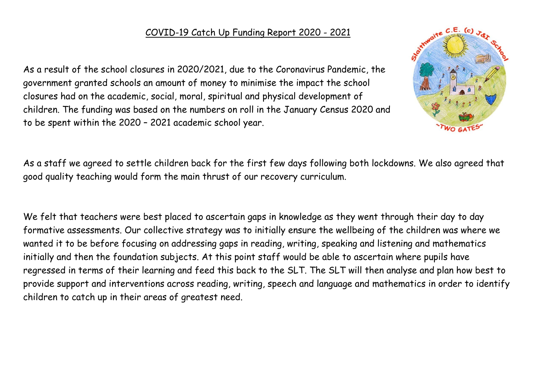## COVID-19 Catch Up Funding Report 2020 - 2021

As a result of the school closures in 2020/2021, due to the Coronavirus Pandemic, the government granted schools an amount of money to minimise the impact the school closures had on the academic, social, moral, spiritual and physical development of children. The funding was based on the numbers on roll in the January Census 2020 and to be spent within the 2020 – 2021 academic school year.



As a staff we agreed to settle children back for the first few days following both lockdowns. We also agreed that good quality teaching would form the main thrust of our recovery curriculum.

We felt that teachers were best placed to ascertain gaps in knowledge as they went through their day to day formative assessments. Our collective strategy was to initially ensure the wellbeing of the children was where we wanted it to be before focusing on addressing gaps in reading, writing, speaking and listening and mathematics initially and then the foundation subjects. At this point staff would be able to ascertain where pupils have regressed in terms of their learning and feed this back to the SLT. The SLT will then analyse and plan how best to provide support and interventions across reading, writing, speech and language and mathematics in order to identify children to catch up in their areas of greatest need.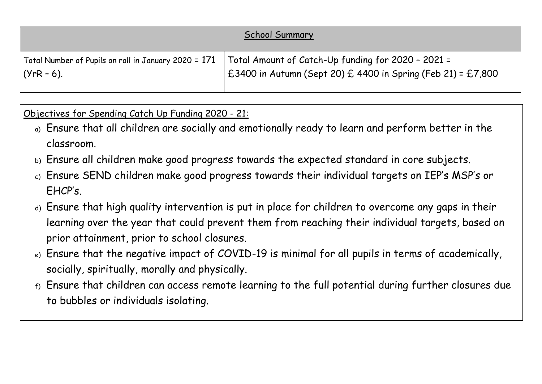|                                                        | <b>School Summary</b>                                             |
|--------------------------------------------------------|-------------------------------------------------------------------|
| Total Number of Pupils on roll in January 2020 = $171$ | Total Amount of Catch-Up funding for 2020 - 2021 =                |
| $(YrR - 6)$ .                                          | $\pm 3400$ in Autumn (Sept 20) £ 4400 in Spring (Feb 21) = £7,800 |

Objectives for Spending Catch Up Funding 2020 - 21:

- a) Ensure that all children are socially and emotionally ready to learn and perform better in the classroom.
- b) Ensure all children make good progress towards the expected standard in core subjects.
- c) Ensure SEND children make good progress towards their individual targets on IEP's MSP's or EHCP's.
- d) Ensure that high quality intervention is put in place for children to overcome any gaps in their learning over the year that could prevent them from reaching their individual targets, based on prior attainment, prior to school closures.
- e) Ensure that the negative impact of COVID-19 is minimal for all pupils in terms of academically, socially, spiritually, morally and physically.
- f) Ensure that children can access remote learning to the full potential during further closures due to bubbles or individuals isolating.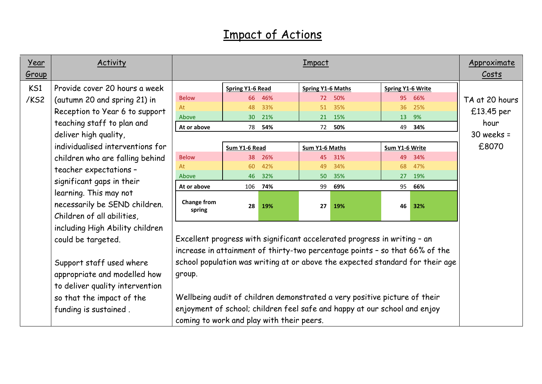## Impact of Actions

| <u>Year</u><br><u>Group</u> | <b>Activity</b>                                                                                                                                                                                                     | <u>Impact</u>                                                              |                                                                                                                                                                                                                                                                                                                                                                                                                                                 |                                    |                                              |                                 |                                        |                                    | Approximate<br><u>Costs</u>                                   |
|-----------------------------|---------------------------------------------------------------------------------------------------------------------------------------------------------------------------------------------------------------------|----------------------------------------------------------------------------|-------------------------------------------------------------------------------------------------------------------------------------------------------------------------------------------------------------------------------------------------------------------------------------------------------------------------------------------------------------------------------------------------------------------------------------------------|------------------------------------|----------------------------------------------|---------------------------------|----------------------------------------|------------------------------------|---------------------------------------------------------------|
| KS1<br>/KS2                 | Provide cover 20 hours a week<br>(autumn 20 and spring 21) in<br>Reception to Year 6 to support<br>teaching staff to plan and<br>deliver high quality,                                                              | <b>Below</b><br>At<br>Above<br>At or above                                 | <b>Spring Y1-6 Read</b><br>48                                                                                                                                                                                                                                                                                                                                                                                                                   | 66 46%<br>33%<br>30 21%<br>78 54%  | <b>Spring Y1-6 Maths</b><br>72<br>51         | 50%<br>35%<br>21 15%<br>72 50%  | <b>Spring Y1-6 Write</b><br>36         | 95 66%<br>25%<br>13 9%<br>49 34%   | TA at 20 hours<br>£13.45 per<br>hour<br>$30$ weeks =<br>£8070 |
|                             | individualised interventions for<br>children who are falling behind<br>teacher expectations -<br>significant gaps in their<br>learning. This may not<br>necessarily be SEND children.<br>Children of all abilities, | <b>Below</b><br>At<br>Above<br>At or above<br><b>Change from</b><br>spring | Sum Y1-6 Read<br>60<br>46<br>106<br>28                                                                                                                                                                                                                                                                                                                                                                                                          | 38 26%<br>42%<br>32%<br>74%<br>19% | Sum Y1-6 Maths<br>45<br>49<br>50<br>99<br>27 | 31%<br>34%<br>35%<br>69%<br>19% | Sum Y1-6 Write<br>49<br>68<br>27<br>46 | 34%<br>47%<br>19%<br>95 66%<br>32% |                                                               |
|                             | including High Ability children<br>could be targeted.<br>Support staff used where<br>appropriate and modelled how<br>to deliver quality intervention<br>so that the impact of the<br>funding is sustained.          | group.                                                                     | Excellent progress with significant accelerated progress in writing - an<br>increase in attainment of thirty-two percentage points - so that 66% of the<br>school population was writing at or above the expected standard for their age<br>Wellbeing audit of children demonstrated a very positive picture of their<br>enjoyment of school; children feel safe and happy at our school and enjoy<br>coming to work and play with their peers. |                                    |                                              |                                 |                                        |                                    |                                                               |